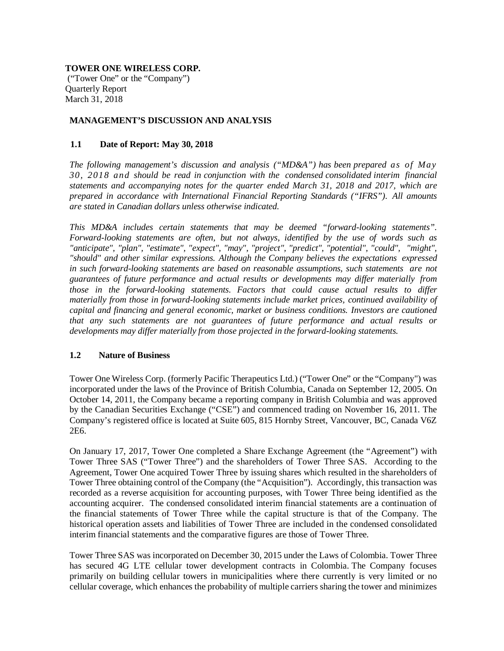## **TOWER ONE WIRELESS CORP.**

("Tower One" or the "Company") Quarterly Report March 31, 2018

# **MANAGEMENT'S DISCUSSION AND ANALYSIS**

## **1.1 Date of Report: May 30, 2018**

*The following management's discussion and analysis ("MD&A") has been prepared as of May 30, 2018 and should be read in conjunction with the condensed consolidated interim financial statements and accompanying notes for the quarter ended March 31, 2018 and 2017, which are prepared in accordance with International Financial Reporting Standards ("IFRS"). All amounts are stated in Canadian dollars unless otherwise indicated.*

*This MD&A includes certain statements that may be deemed "forward-looking statements". Forward-looking statements are often, but not always, identified by the use of words such as "anticipate", "plan", "estimate", "expect", "may", "project", "predict", "potential", "could", "might", "should" and other similar expressions. Although the Company believes the expectations expressed in such forward-looking statements are based on reasonable assumptions, such statements are not guarantees of future performance and actual results or developments may differ materially from those in the forward-looking statements. Factors that could cause actual results to differ materially from those in forward-looking statements include market prices, continued availability of capital and financing and general economic, market or business conditions. Investors are cautioned that any such statements are not guarantees of future performance and actual results or developments may differ materially from those projected in the forward-looking statements.*

### **1.2 Nature of Business**

Tower One Wireless Corp. (formerly Pacific Therapeutics Ltd.) ("Tower One" or the "Company") was incorporated under the laws of the Province of British Columbia, Canada on September 12, 2005. On October 14, 2011, the Company became a reporting company in British Columbia and was approved by the Canadian Securities Exchange ("CSE") and commenced trading on November 16, 2011. The Company's registered office is located at Suite 605, 815 Hornby Street, Vancouver, BC, Canada V6Z 2E6.

On January 17, 2017, Tower One completed a Share Exchange Agreement (the "Agreement") with Tower Three SAS ("Tower Three") and the shareholders of Tower Three SAS. According to the Agreement, Tower One acquired Tower Three by issuing shares which resulted in the shareholders of Tower Three obtaining control of the Company (the "Acquisition"). Accordingly, this transaction was recorded as a reverse acquisition for accounting purposes, with Tower Three being identified as the accounting acquirer. The condensed consolidated interim financial statements are a continuation of the financial statements of Tower Three while the capital structure is that of the Company. The historical operation assets and liabilities of Tower Three are included in the condensed consolidated interim financial statements and the comparative figures are those of Tower Three.

Tower Three SAS was incorporated on December 30, 2015 under the Laws of Colombia. Tower Three has secured 4G LTE cellular tower development contracts in Colombia. The Company focuses primarily on building cellular towers in municipalities where there currently is very limited or no cellular coverage, which enhances the probability of multiple carriers sharing the tower and minimizes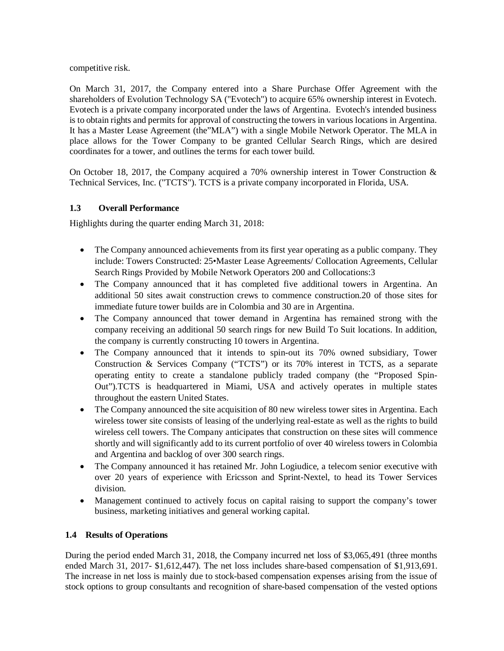competitive risk.

On March 31, 2017, the Company entered into a Share Purchase Offer Agreement with the shareholders of Evolution Technology SA ("Evotech") to acquire 65% ownership interest in Evotech. Evotech is a private company incorporated under the laws of Argentina. Evotech's intended business is to obtain rights and permits for approval of constructing the towers in various locations in Argentina. It has a Master Lease Agreement (the"MLA") with a single Mobile Network Operator. The MLA in place allows for the Tower Company to be granted Cellular Search Rings, which are desired coordinates for a tower, and outlines the terms for each tower build.

On October 18, 2017, the Company acquired a 70% ownership interest in Tower Construction & Technical Services, Inc. ("TCTS"). TCTS is a private company incorporated in Florida, USA.

# **1.3 Overall Performance**

Highlights during the quarter ending March 31, 2018:

- The Company announced achievements from its first year operating as a public company. They include: Towers Constructed: 25•Master Lease Agreements/ Collocation Agreements, Cellular Search Rings Provided by Mobile Network Operators 200 and Collocations:3
- The Company announced that it has completed five additional towers in Argentina. An additional 50 sites await construction crews to commence construction.20 of those sites for immediate future tower builds are in Colombia and 30 are in Argentina.
- The Company announced that tower demand in Argentina has remained strong with the company receiving an additional 50 search rings for new Build To Suit locations. In addition, the company is currently constructing 10 towers in Argentina.
- The Company announced that it intends to spin-out its 70% owned subsidiary, Tower Construction & Services Company ("TCTS") or its 70% interest in TCTS, as a separate operating entity to create a standalone publicly traded company (the "Proposed Spin-Out").TCTS is headquartered in Miami, USA and actively operates in multiple states throughout the eastern United States.
- The Company announced the site acquisition of 80 new wireless tower sites in Argentina. Each wireless tower site consists of leasing of the underlying real-estate as well as the rights to build wireless cell towers. The Company anticipates that construction on these sites will commence shortly and will significantly add to its current portfolio of over 40 wireless towers in Colombia and Argentina and backlog of over 300 search rings.
- The Company announced it has retained Mr. John Logiudice, a telecom senior executive with over 20 years of experience with Ericsson and Sprint-Nextel, to head its Tower Services division.
- Management continued to actively focus on capital raising to support the company's tower business, marketing initiatives and general working capital.

# **1.4 Results of Operations**

During the period ended March 31, 2018, the Company incurred net loss of \$3,065,491 (three months ended March 31, 2017- \$1,612,447). The net loss includes share-based compensation of \$1,913,691. The increase in net loss is mainly due to stock-based compensation expenses arising from the issue of stock options to group consultants and recognition of share-based compensation of the vested options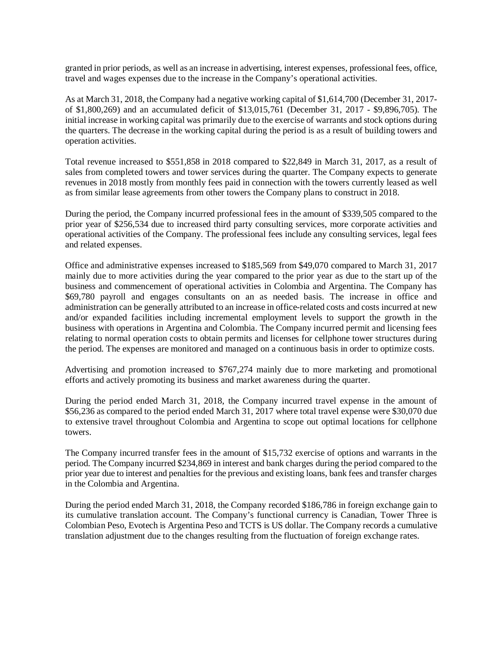granted in prior periods, as well as an increase in advertising, interest expenses, professional fees, office, travel and wages expenses due to the increase in the Company's operational activities.

As at March 31, 2018, the Company had a negative working capital of \$1,614,700 (December 31, 2017 of \$1,800,269) and an accumulated deficit of \$13,015,761 (December 31, 2017 - \$9,896,705). The initial increase in working capital was primarily due to the exercise of warrants and stock options during the quarters. The decrease in the working capital during the period is as a result of building towers and operation activities.

Total revenue increased to \$551,858 in 2018 compared to \$22,849 in March 31, 2017, as a result of sales from completed towers and tower services during the quarter. The Company expects to generate revenues in 2018 mostly from monthly fees paid in connection with the towers currently leased as well as from similar lease agreements from other towers the Company plans to construct in 2018.

During the period, the Company incurred professional fees in the amount of \$339,505 compared to the prior year of \$256,534 due to increased third party consulting services, more corporate activities and operational activities of the Company. The professional fees include any consulting services, legal fees and related expenses.

Office and administrative expenses increased to \$185,569 from \$49,070 compared to March 31, 2017 mainly due to more activities during the year compared to the prior year as due to the start up of the business and commencement of operational activities in Colombia and Argentina. The Company has \$69,780 payroll and engages consultants on an as needed basis. The increase in office and administration can be generally attributed to an increase in office-related costs and costs incurred at new and/or expanded facilities including incremental employment levels to support the growth in the business with operations in Argentina and Colombia. The Company incurred permit and licensing fees relating to normal operation costs to obtain permits and licenses for cellphone tower structures during the period. The expenses are monitored and managed on a continuous basis in order to optimize costs.

Advertising and promotion increased to \$767,274 mainly due to more marketing and promotional efforts and actively promoting its business and market awareness during the quarter.

During the period ended March 31, 2018, the Company incurred travel expense in the amount of \$56,236 as compared to the period ended March 31, 2017 where total travel expense were \$30,070 due to extensive travel throughout Colombia and Argentina to scope out optimal locations for cellphone towers.

The Company incurred transfer fees in the amount of \$15,732 exercise of options and warrants in the period. The Company incurred \$234,869 in interest and bank charges during the period compared to the prior year due to interest and penalties for the previous and existing loans, bank fees and transfer charges in the Colombia and Argentina.

During the period ended March 31, 2018, the Company recorded \$186,786 in foreign exchange gain to its cumulative translation account. The Company's functional currency is Canadian, Tower Three is Colombian Peso, Evotech is Argentina Peso and TCTS is US dollar. The Company records a cumulative translation adjustment due to the changes resulting from the fluctuation of foreign exchange rates.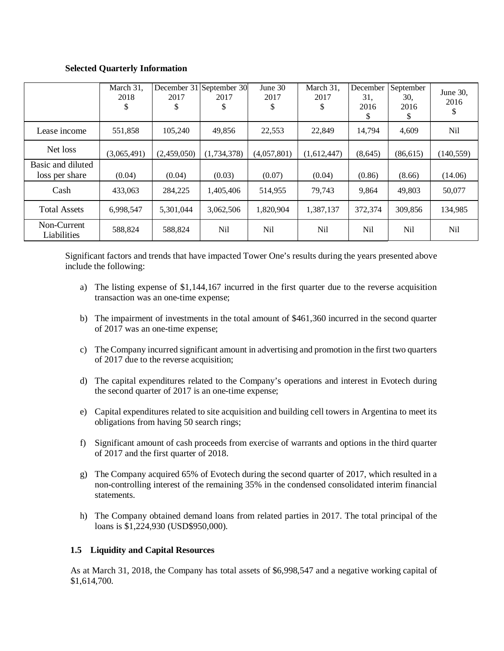# **Selected Quarterly Information**

|                                     | March 31,<br>2018<br>\$ | 2017<br>\$  | December 31 September 30<br>2017<br>\$ | June $30$<br>2017<br>\$ | March 31,<br>2017<br>S | December<br>31.<br>2016<br>S | September<br>30.<br>2016<br>S | June 30,<br>2016<br>\$ |
|-------------------------------------|-------------------------|-------------|----------------------------------------|-------------------------|------------------------|------------------------------|-------------------------------|------------------------|
| Lease income                        | 551,858                 | 105,240     | 49,856                                 | 22,553                  | 22,849                 | 14,794                       | 4,609                         | Nil                    |
| Net loss                            | (3,065,491)             | (2,459,050) | (1,734,378)                            | (4,057,801)             | (1,612,447)            | (8,645)                      | (86, 615)                     | (140, 559)             |
| Basic and diluted<br>loss per share | (0.04)                  | (0.04)      | (0.03)                                 | (0.07)                  | (0.04)                 | (0.86)                       | (8.66)                        | (14.06)                |
| Cash                                | 433,063                 | 284,225     | 1,405,406                              | 514,955                 | 79.743                 | 9,864                        | 49.803                        | 50,077                 |
| <b>Total Assets</b>                 | 6,998,547               | 5,301,044   | 3,062,506                              | 1,820,904               | 1,387,137              | 372,374                      | 309,856                       | 134,985                |
| Non-Current<br>Liabilities          | 588,824                 | 588,824     | Nil                                    | <b>Nil</b>              | Nil                    | Nil                          | <b>Nil</b>                    | N <sub>il</sub>        |

Significant factors and trends that have impacted Tower One's results during the years presented above include the following:

- a) The listing expense of \$1,144,167 incurred in the first quarter due to the reverse acquisition transaction was an one-time expense;
- b) The impairment of investments in the total amount of \$461,360 incurred in the second quarter of 2017 was an one-time expense;
- c) The Company incurred significant amount in advertising and promotion in the first two quarters of 2017 due to the reverse acquisition;
- d) The capital expenditures related to the Company's operations and interest in Evotech during the second quarter of 2017 is an one-time expense;
- e) Capital expenditures related to site acquisition and building cell towers in Argentina to meet its obligations from having 50 search rings;
- f) Significant amount of cash proceeds from exercise of warrants and options in the third quarter of 2017 and the first quarter of 2018.
- g) The Company acquired 65% of Evotech during the second quarter of 2017, which resulted in a non-controlling interest of the remaining 35% in the condensed consolidated interim financial statements.
- h) The Company obtained demand loans from related parties in 2017. The total principal of the loans is \$1,224,930 (USD\$950,000).

### **1.5 Liquidity and Capital Resources**

As at March 31, 2018, the Company has total assets of \$6,998,547 and a negative working capital of \$1,614,700.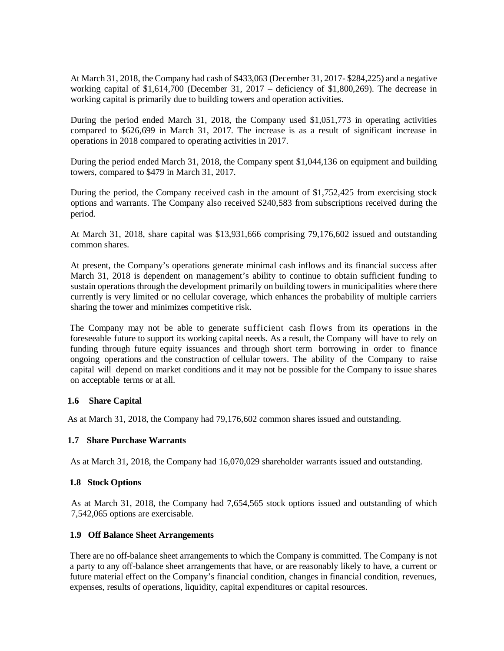At March 31, 2018, the Company had cash of \$433,063 (December 31, 2017- \$284,225) and a negative working capital of \$1,614,700 (December 31, 2017 – deficiency of \$1,800,269). The decrease in working capital is primarily due to building towers and operation activities.

During the period ended March 31, 2018, the Company used \$1,051,773 in operating activities compared to \$626,699 in March 31, 2017. The increase is as a result of significant increase in operations in 2018 compared to operating activities in 2017.

During the period ended March 31, 2018, the Company spent \$1,044,136 on equipment and building towers, compared to \$479 in March 31, 2017.

During the period, the Company received cash in the amount of \$1,752,425 from exercising stock options and warrants. The Company also received \$240,583 from subscriptions received during the period.

At March 31, 2018, share capital was \$13,931,666 comprising 79,176,602 issued and outstanding common shares.

At present, the Company's operations generate minimal cash inflows and its financial success after March 31, 2018 is dependent on management's ability to continue to obtain sufficient funding to sustain operations through the development primarily on building towers in municipalities where there currently is very limited or no cellular coverage, which enhances the probability of multiple carriers sharing the tower and minimizes competitive risk.

The Company may not be able to generate sufficient cash flows from its operations in the foreseeable future to support its working capital needs. As a result, the Company will have to rely on funding through future equity issuances and through short term borrowing in order to finance ongoing operations and the construction of cellular towers. The ability of the Company to raise capital will depend on market conditions and it may not be possible for the Company to issue shares on acceptable terms or at all.

#### **1.6 Share Capital**

As at March 31, 2018, the Company had 79,176,602 common shares issued and outstanding.

# **1.7 Share Purchase Warrants**

As at March 31, 2018, the Company had 16,070,029 shareholder warrants issued and outstanding.

### **1.8 Stock Options**

As at March 31, 2018, the Company had 7,654,565 stock options issued and outstanding of which 7,542,065 options are exercisable.

#### **1.9 Off Balance Sheet Arrangements**

There are no off-balance sheet arrangements to which the Company is committed. The Company is not a party to any off-balance sheet arrangements that have, or are reasonably likely to have, a current or future material effect on the Company's financial condition, changes in financial condition, revenues, expenses, results of operations, liquidity, capital expenditures or capital resources.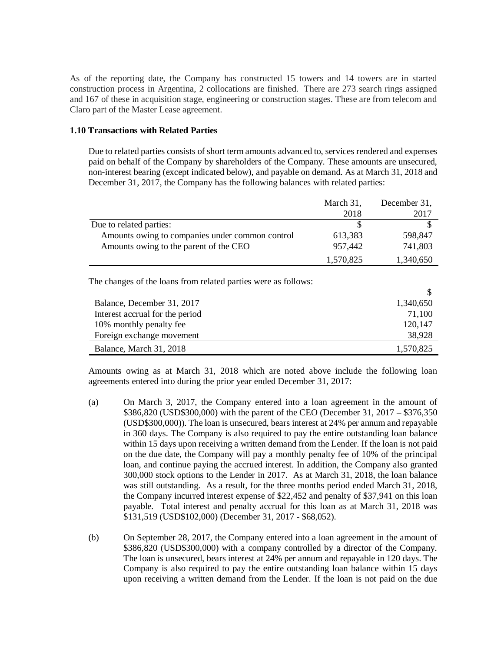As of the reporting date, the Company has constructed 15 towers and 14 towers are in started construction process in Argentina, 2 collocations are finished. There are 273 search rings assigned and 167 of these in acquisition stage, engineering or construction stages. These are from telecom and Claro part of the Master Lease agreement.

#### **1.10 Transactions with Related Parties**

Due to related parties consists of short term amounts advanced to, services rendered and expenses paid on behalf of the Company by shareholders of the Company. These amounts are unsecured, non-interest bearing (except indicated below), and payable on demand. As at March 31, 2018 and December 31, 2017, the Company has the following balances with related parties:

|                                                 | March 31, | December 31, |
|-------------------------------------------------|-----------|--------------|
|                                                 | 2018      | 2017         |
| Due to related parties:                         |           |              |
| Amounts owing to companies under common control | 613,383   | 598,847      |
| Amounts owing to the parent of the CEO          | 957,442   | 741,803      |
|                                                 | 1,570,825 | 1,340,650    |

The changes of the loans from related parties were as follows:

| Balance, December 31, 2017      | 1,340,650 |
|---------------------------------|-----------|
| Interest accrual for the period | 71,100    |
| 10% monthly penalty fee         | 120,147   |
| Foreign exchange movement       | 38,928    |
| Balance, March 31, 2018         | 1,570,825 |

Amounts owing as at March 31, 2018 which are noted above include the following loan agreements entered into during the prior year ended December 31, 2017:

- (a) On March 3, 2017, the Company entered into a loan agreement in the amount of \$386,820 (USD\$300,000) with the parent of the CEO (December 31, 2017 – \$376,350 (USD\$300,000)). The loan is unsecured, bears interest at 24% per annum and repayable in 360 days. The Company is also required to pay the entire outstanding loan balance within 15 days upon receiving a written demand from the Lender. If the loan is not paid on the due date, the Company will pay a monthly penalty fee of 10% of the principal loan, and continue paying the accrued interest. In addition, the Company also granted 300,000 stock options to the Lender in 2017. As at March 31, 2018, the loan balance was still outstanding. As a result, for the three months period ended March 31, 2018, the Company incurred interest expense of \$22,452 and penalty of \$37,941 on this loan payable. Total interest and penalty accrual for this loan as at March 31, 2018 was \$131,519 (USD\$102,000) (December 31, 2017 - \$68,052).
- (b) On September 28, 2017, the Company entered into a loan agreement in the amount of \$386,820 (USD\$300,000) with a company controlled by a director of the Company. The loan is unsecured, bears interest at 24% per annum and repayable in 120 days. The Company is also required to pay the entire outstanding loan balance within 15 days upon receiving a written demand from the Lender. If the loan is not paid on the due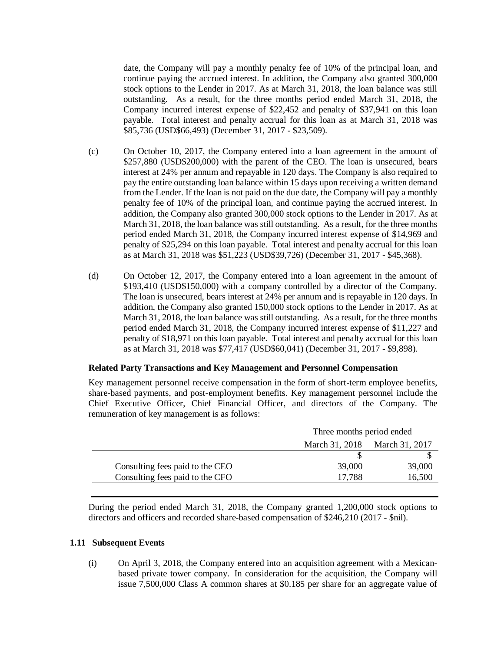date, the Company will pay a monthly penalty fee of 10% of the principal loan, and continue paying the accrued interest. In addition, the Company also granted 300,000 stock options to the Lender in 2017. As at March 31, 2018, the loan balance was still outstanding. As a result, for the three months period ended March 31, 2018, the Company incurred interest expense of \$22,452 and penalty of \$37,941 on this loan payable. Total interest and penalty accrual for this loan as at March 31, 2018 was \$85,736 (USD\$66,493) (December 31, 2017 - \$23,509).

- (c) On October 10, 2017, the Company entered into a loan agreement in the amount of \$257,880 (USD\$200,000) with the parent of the CEO. The loan is unsecured, bears interest at 24% per annum and repayable in 120 days. The Company is also required to pay the entire outstanding loan balance within 15 days upon receiving a written demand from the Lender. If the loan is not paid on the due date, the Company will pay a monthly penalty fee of 10% of the principal loan, and continue paying the accrued interest. In addition, the Company also granted 300,000 stock options to the Lender in 2017. As at March 31, 2018, the loan balance was still outstanding. As a result, for the three months period ended March 31, 2018, the Company incurred interest expense of \$14,969 and penalty of \$25,294 on this loan payable. Total interest and penalty accrual for this loan as at March 31, 2018 was \$51,223 (USD\$39,726) (December 31, 2017 - \$45,368).
- (d) On October 12, 2017, the Company entered into a loan agreement in the amount of \$193,410 (USD\$150,000) with a company controlled by a director of the Company. The loan is unsecured, bears interest at 24% per annum and is repayable in 120 days. In addition, the Company also granted 150,000 stock options to the Lender in 2017. As at March 31, 2018, the loan balance was still outstanding. As a result, for the three months period ended March 31, 2018, the Company incurred interest expense of \$11,227 and penalty of \$18,971 on this loan payable. Total interest and penalty accrual for this loan as at March 31, 2018 was \$77,417 (USD\$60,041) (December 31, 2017 - \$9,898).

#### **Related Party Transactions and Key Management and Personnel Compensation**

Key management personnel receive compensation in the form of short-term employee benefits, share-based payments, and post-employment benefits. Key management personnel include the Chief Executive Officer, Chief Financial Officer, and directors of the Company. The remuneration of key management is as follows:

| Three months period ended     |        |  |
|-------------------------------|--------|--|
| March 31, 2018 March 31, 2017 |        |  |
|                               |        |  |
| 39,000                        | 39,000 |  |
| 17,788                        | 16,500 |  |
|                               |        |  |

During the period ended March 31, 2018, the Company granted 1,200,000 stock options to directors and officers and recorded share-based compensation of \$246,210 (2017 - \$nil).

# **1.11 Subsequent Events**

(i) On April 3, 2018, the Company entered into an acquisition agreement with a Mexicanbased private tower company. In consideration for the acquisition, the Company will issue 7,500,000 Class A common shares at \$0.185 per share for an aggregate value of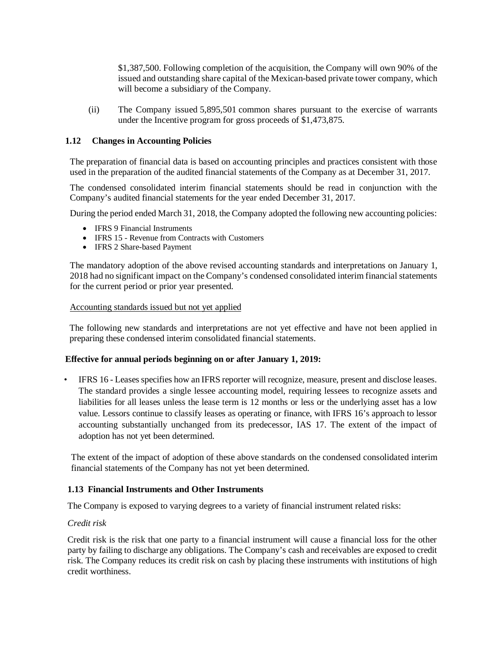\$1,387,500. Following completion of the acquisition, the Company will own 90% of the issued and outstanding share capital of the Mexican-based private tower company, which will become a subsidiary of the Company.

(ii) The Company issued 5,895,501 common shares pursuant to the exercise of warrants under the Incentive program for gross proceeds of \$1,473,875.

#### **1.12 Changes in Accounting Policies**

The preparation of financial data is based on accounting principles and practices consistent with those used in the preparation of the audited financial statements of the Company as at December 31, 2017.

The condensed consolidated interim financial statements should be read in conjunction with the Company's audited financial statements for the year ended December 31, 2017.

During the period ended March 31, 2018, the Company adopted the following new accounting policies:

- IFRS 9 Financial Instruments
- IFRS 15 Revenue from Contracts with Customers
- IFRS 2 Share-based Payment

The mandatory adoption of the above revised accounting standards and interpretations on January 1, 2018 had no significant impact on the Company's condensed consolidated interim financial statements for the current period or prior year presented.

#### Accounting standards issued but not yet applied

The following new standards and interpretations are not yet effective and have not been applied in preparing these condensed interim consolidated financial statements.

#### **Effective for annual periods beginning on or after January 1, 2019:**

• IFRS 16 - Leases specifies how an IFRS reporter will recognize, measure, present and disclose leases. The standard provides a single lessee accounting model, requiring lessees to recognize assets and liabilities for all leases unless the lease term is 12 months or less or the underlying asset has a low value. Lessors continue to classify leases as operating or finance, with IFRS 16's approach to lessor accounting substantially unchanged from its predecessor, IAS 17. The extent of the impact of adoption has not yet been determined.

The extent of the impact of adoption of these above standards on the condensed consolidated interim financial statements of the Company has not yet been determined.

#### **1.13 Financial Instruments and Other Instruments**

The Company is exposed to varying degrees to a variety of financial instrument related risks:

### *Credit risk*

Credit risk is the risk that one party to a financial instrument will cause a financial loss for the other party by failing to discharge any obligations. The Company's cash and receivables are exposed to credit risk. The Company reduces its credit risk on cash by placing these instruments with institutions of high credit worthiness.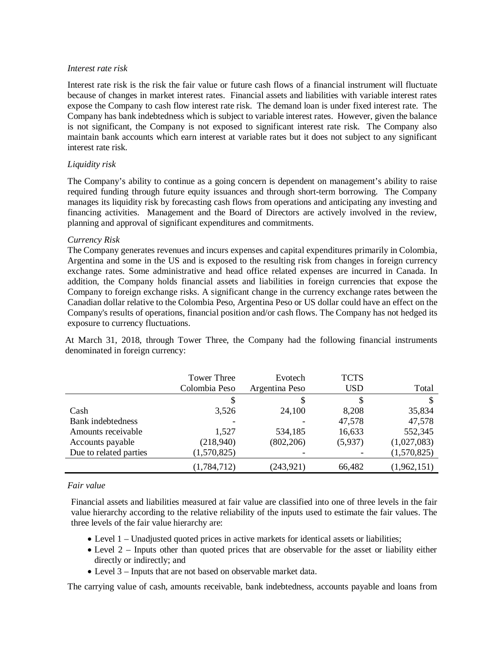#### *Interest rate risk*

Interest rate risk is the risk the fair value or future cash flows of a financial instrument will fluctuate because of changes in market interest rates. Financial assets and liabilities with variable interest rates expose the Company to cash flow interest rate risk. The demand loan is under fixed interest rate. The Company has bank indebtedness which is subject to variable interest rates. However, given the balance is not significant, the Company is not exposed to significant interest rate risk. The Company also maintain bank accounts which earn interest at variable rates but it does not subject to any significant interest rate risk.

# *Liquidity risk*

The Company's ability to continue as a going concern is dependent on management's ability to raise required funding through future equity issuances and through short-term borrowing. The Company manages its liquidity risk by forecasting cash flows from operations and anticipating any investing and financing activities. Management and the Board of Directors are actively involved in the review, planning and approval of significant expenditures and commitments.

### *Currency Risk*

The Company generates revenues and incurs expenses and capital expenditures primarily in Colombia, Argentina and some in the US and is exposed to the resulting risk from changes in foreign currency exchange rates. Some administrative and head office related expenses are incurred in Canada. In addition, the Company holds financial assets and liabilities in foreign currencies that expose the Company to foreign exchange risks. A significant change in the currency exchange rates between the Canadian dollar relative to the Colombia Peso, Argentina Peso or US dollar could have an effect on the Company's results of operations, financial position and/or cash flows. The Company has not hedged its exposure to currency fluctuations.

At March 31, 2018, through Tower Three, the Company had the following financial instruments denominated in foreign currency:

|                        | <b>Tower Three</b><br>Colombia Peso | Evotech<br>Argentina Peso | <b>TCTS</b><br><b>USD</b> | Total       |
|------------------------|-------------------------------------|---------------------------|---------------------------|-------------|
|                        |                                     |                           |                           |             |
| Cash                   | 3,526                               | 24,100                    | 8,208                     | 35,834      |
| Bank indebtedness      |                                     |                           | 47,578                    | 47,578      |
| Amounts receivable     | 1,527                               | 534,185                   | 16,633                    | 552,345     |
| Accounts payable       | (218,940)                           | (802, 206)                | (5,937)                   | (1,027,083) |
| Due to related parties | (1,570,825)                         |                           |                           | (1,570,825) |
|                        | (1,784,712)                         | (243, 921)                | 66,482                    | (1,962,151) |

### *Fair value*

Financial assets and liabilities measured at fair value are classified into one of three levels in the fair value hierarchy according to the relative reliability of the inputs used to estimate the fair values. The three levels of the fair value hierarchy are:

- Level 1 Unadjusted quoted prices in active markets for identical assets or liabilities;
- Level 2 Inputs other than quoted prices that are observable for the asset or liability either directly or indirectly; and
- Level 3 Inputs that are not based on observable market data.

The carrying value of cash, amounts receivable, bank indebtedness, accounts payable and loans from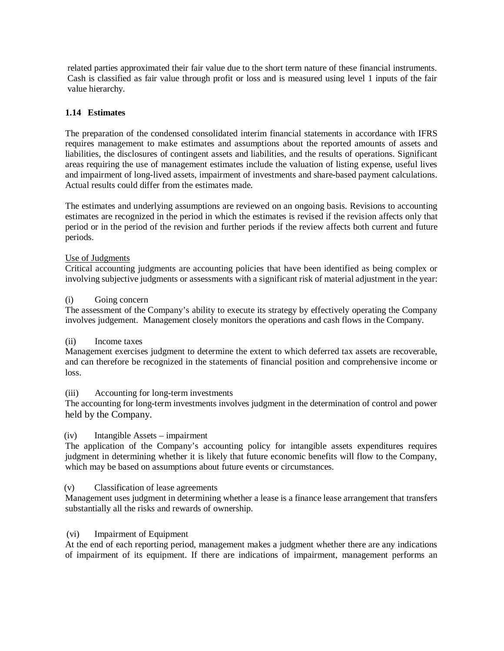related parties approximated their fair value due to the short term nature of these financial instruments. Cash is classified as fair value through profit or loss and is measured using level 1 inputs of the fair value hierarchy.

# **1.14 Estimates**

The preparation of the condensed consolidated interim financial statements in accordance with IFRS requires management to make estimates and assumptions about the reported amounts of assets and liabilities, the disclosures of contingent assets and liabilities, and the results of operations. Significant areas requiring the use of management estimates include the valuation of listing expense, useful lives and impairment of long-lived assets, impairment of investments and share-based payment calculations. Actual results could differ from the estimates made.

The estimates and underlying assumptions are reviewed on an ongoing basis. Revisions to accounting estimates are recognized in the period in which the estimates is revised if the revision affects only that period or in the period of the revision and further periods if the review affects both current and future periods.

### Use of Judgments

Critical accounting judgments are accounting policies that have been identified as being complex or involving subjective judgments or assessments with a significant risk of material adjustment in the year:

### (i) Going concern

The assessment of the Company's ability to execute its strategy by effectively operating the Company involves judgement. Management closely monitors the operations and cash flows in the Company.

### (ii) Income taxes

Management exercises judgment to determine the extent to which deferred tax assets are recoverable, and can therefore be recognized in the statements of financial position and comprehensive income or loss.

### (iii) Accounting for long-term investments

The accounting for long-term investments involves judgment in the determination of control and power held by the Company.

### (iv) Intangible Assets – impairment

The application of the Company's accounting policy for intangible assets expenditures requires judgment in determining whether it is likely that future economic benefits will flow to the Company, which may be based on assumptions about future events or circumstances.

### (v) Classification of lease agreements

Management uses judgment in determining whether a lease is a finance lease arrangement that transfers substantially all the risks and rewards of ownership.

#### (vi) Impairment of Equipment

At the end of each reporting period, management makes a judgment whether there are any indications of impairment of its equipment. If there are indications of impairment, management performs an